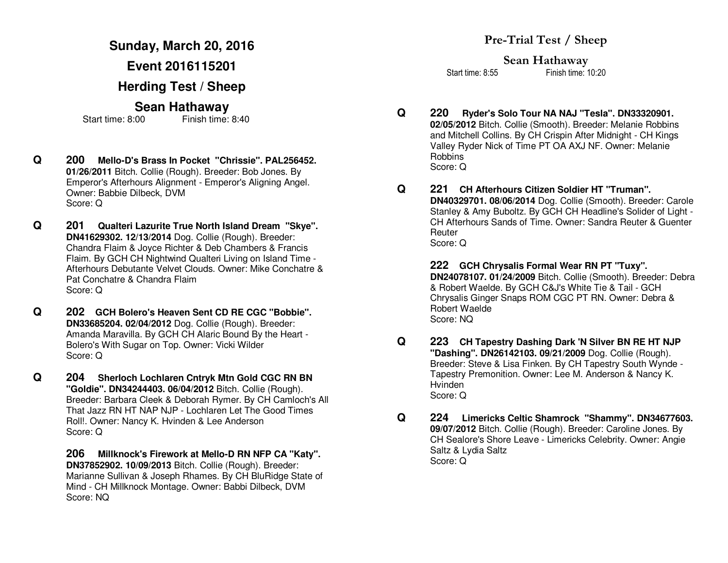## **Sunday, March 20, 2016**

**Event 2016115201** 

**Herding Test / Sheep** 

# **Sean Hathaway**

Start time: 8:00 Finish time: 8:40

- **Q 200 Mello-D's Brass In Pocket "Chrissie". PAL256452. 01/26/2011** Bitch. Collie (Rough). Breeder: Bob Jones. By Emperor's Afterhours Alignment - Emperor's Aligning Angel. Owner: Babbie Dilbeck, DVM Score: Q
- **Q 201 Qualteri Lazurite True North Island Dream "Skye". DN41629302. 12/13/2014** Dog. Collie (Rough). Breeder: Chandra Flaim & Joyce Richter & Deb Chambers & Francis Flaim. By GCH CH Nightwind Qualteri Living on Island Time - Afterhours Debutante Velvet Clouds. Owner: Mike Conchatre & Pat Conchatre & Chandra Flaim Score: Q
- **Q 202 GCH Bolero's Heaven Sent CD RE CGC "Bobbie". DN33685204. 02/04/2012** Dog. Collie (Rough). Breeder: Amanda Maravilla. By GCH CH Alaric Bound By the Heart - Bolero's With Sugar on Top. Owner: Vicki Wilder Score: Q
- **Q 204 Sherloch Lochlaren Cntryk Mtn Gold CGC RN BN "Goldie". DN34244403. 06/04/2012** Bitch. Collie (Rough). Breeder: Barbara Cleek & Deborah Rymer. By CH Camloch's All That Jazz RN HT NAP NJP - Lochlaren Let The Good Times Roll!. Owner: Nancy K. Hvinden & Lee Anderson Score: Q

 **206 Millknock's Firework at Mello-D RN NFP CA "Katy". DN37852902. 10/09/2013** Bitch. Collie (Rough). Breeder: Marianne Sullivan & Joseph Rhames. By CH BluRidge State of Mind - CH Millknock Montage. Owner: Babbi Dilbeck, DVM Score: NQ

**Sean Hathaway** 

Start time: 8:55 Finish time: 10:20

**Q 220 Ryder's Solo Tour NA NAJ "Tesla". DN33320901. 02/05/2012** Bitch. Collie (Smooth). Breeder: Melanie Robbins and Mitchell Collins. By CH Crispin After Midnight - CH Kings Valley Ryder Nick of Time PT OA AXJ NF. Owner: Melanie Robbins Score: Q

**Q 221 CH Afterhours Citizen Soldier HT "Truman". DN40329701. 08/06/2014** Dog. Collie (Smooth). Breeder: Carole Stanley & Amy Buboltz. By GCH CH Headline's Solider of Light - CH Afterhours Sands of Time. Owner: Sandra Reuter & Guenter **Reuter** Score: Q

> **222 GCH Chrysalis Formal Wear RN PT "Tuxy". DN24078107. 01/24/2009** Bitch. Collie (Smooth). Breeder: Debra & Robert Waelde. By GCH C&J's White Tie & Tail - GCH Chrysalis Ginger Snaps ROM CGC PT RN. Owner: Debra &Robert Waelde Score: NQ

- **Q 223 CH Tapestry Dashing Dark 'N Silver BN RE HT NJP "Dashing". DN26142103. 09/21/2009** Dog. Collie (Rough). Breeder: Steve & Lisa Finken. By CH Tapestry South Wynde - Tapestry Premonition. Owner: Lee M. Anderson & Nancy K. Hvinden Score: Q
- **Q 224 Limericks Celtic Shamrock "Shammy". DN34677603. 09/07/2012** Bitch. Collie (Rough). Breeder: Caroline Jones. By CH Sealore's Shore Leave - Limericks Celebrity. Owner: Angie Saltz & Lydia Saltz Score: Q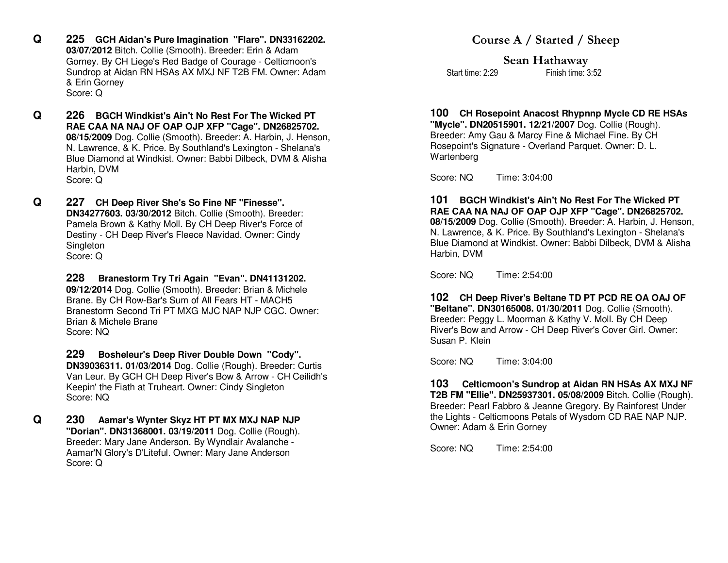- **Q 225 GCH Aidan's Pure Imagination "Flare". DN33162202. 03/07/2012** Bitch. Collie (Smooth). Breeder: Erin & Adam Gorney. By CH Liege's Red Badge of Courage - Celticmoon's Sundrop at Aidan RN HSAs AX MXJ NF T2B FM. Owner: Adam & Erin Gorney Score: Q
- **Q 226 BGCH Windkist's Ain't No Rest For The Wicked PT RAE CAA NA NAJ OF OAP OJP XFP "Cage". DN26825702. 08/15/2009** Dog. Collie (Smooth). Breeder: A. Harbin, J. Henson, N. Lawrence, & K. Price. By Southland's Lexington - Shelana's Blue Diamond at Windkist. Owner: Babbi Dilbeck, DVM & Alisha Harbin, DVM Score: Q
- **Q 227 CH Deep River She's So Fine NF "Finesse". DN34277603. 03/30/2012** Bitch. Collie (Smooth). Breeder: Pamela Brown & Kathy Moll. By CH Deep River's Force of Destiny - CH Deep River's Fleece Navidad. Owner: Cindy **Singleton** Score: Q

 **228 Branestorm Try Tri Again "Evan". DN41131202. 09/12/2014** Dog. Collie (Smooth). Breeder: Brian & Michele Brane. By CH Row-Bar's Sum of All Fears HT - MACH5 Branestorm Second Tri PT MXG MJC NAP NJP CGC. Owner: Brian & Michele Brane Score: NQ

 **229 Bosheleur's Deep River Double Down "Cody". DN39036311. 01/03/2014** Dog. Collie (Rough). Breeder: Curtis Van Leur. By GCH CH Deep River's Bow & Arrow - CH Ceilidh's Keepin' the Fiath at Truheart. Owner: Cindy Singleton Score: NQ

**Q 230 Aamar's Wynter Skyz HT PT MX MXJ NAP NJP "Dorian". DN31368001. 03/19/2011** Dog. Collie (Rough). Breeder: Mary Jane Anderson. By Wyndlair Avalanche - Aamar'N Glory's D'Liteful. Owner: Mary Jane Anderson Score: Q

## **Course A / Started / Sheep**

**Sean Hathaway** Finish time: 3:52 Start time: 2:29

# **100 CH Rosepoint Anacost Rhypnnp Mycle CD RE HSAs**

**"Mycle". DN20515901. 12/21/2007** Dog. Collie (Rough). Breeder: Amy Gau & Marcy Fine & Michael Fine. By CH Rosepoint's Signature - Overland Parquet. Owner: D. L. Wartenberg

Score: NQ Time: 3:04:00

#### **101 BGCH Windkist's Ain't No Rest For The Wicked PT RAE CAA NA NAJ OF OAP OJP XFP "Cage". DN26825702. 08/15/2009** Dog. Collie (Smooth). Breeder: A. Harbin, J. Henson, N. Lawrence, & K. Price. By Southland's Lexington - Shelana's Blue Diamond at Windkist. Owner: Babbi Dilbeck, DVM & Alisha Harbin, DVM

Score: NQ Time: 2:54:00

 **102 CH Deep River's Beltane TD PT PCD RE OA OAJ OF "Beltane". DN30165008. 01/30/2011** Dog. Collie (Smooth). Breeder: Peggy L. Moorman & Kathy V. Moll. By CH Deep River's Bow and Arrow - CH Deep River's Cover Girl. Owner: Susan P. Klein

Score: NQ Time: 3:04:00

 **103 Celticmoon's Sundrop at Aidan RN HSAs AX MXJ NF T2B FM "Ellie". DN25937301. 05/08/2009** Bitch. Collie (Rough). Breeder: Pearl Fabbro & Jeanne Gregory. By Rainforest Under the Lights - Celticmoons Petals of Wysdom CD RAE NAP NJP. Owner: Adam & Erin Gorney

Score: NQ Time: 2:54:00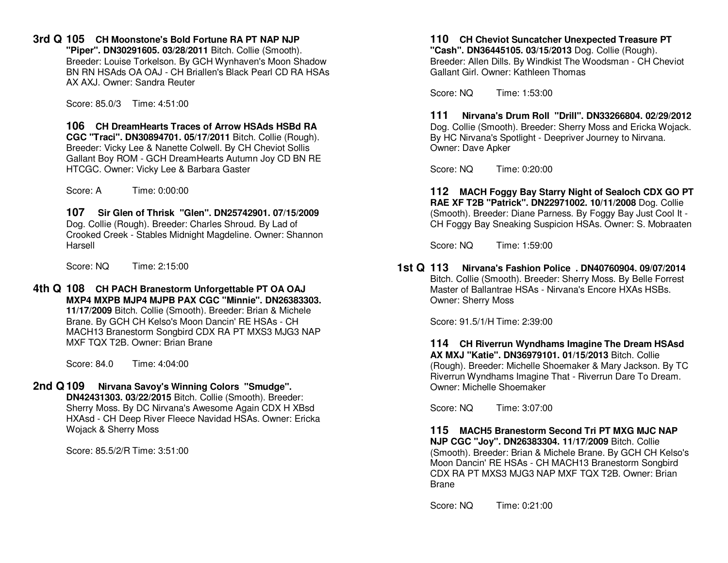**3rd Q 105 CH Moonstone's Bold Fortune RA PT NAP NJP** 

 **"Piper". DN30291605. 03/28/2011** Bitch. Collie (Smooth). Breeder: Louise Torkelson. By GCH Wynhaven's Moon Shadow BN RN HSAds OA OAJ - CH Briallen's Black Pearl CD RA HSAs AX AXJ. Owner: Sandra Reuter

Score: 85.0/3 Time: 4:51:00

 **106 CH DreamHearts Traces of Arrow HSAds HSBd RA CGC "Traci". DN30894701. 05/17/2011** Bitch. Collie (Rough). Breeder: Vicky Lee & Nanette Colwell. By CH Cheviot Sollis Gallant Boy ROM - GCH DreamHearts Autumn Joy CD BN REHTCGC. Owner: Vicky Lee & Barbara Gaster

Score: A Time: 0:00:00

 **107 Sir Glen of Thrisk "Glen". DN25742901. 07/15/2009**Dog. Collie (Rough). Breeder: Charles Shroud. By Lad of Crooked Creek - Stables Midnight Magdeline. Owner: Shannon Harsell

Score: NQ Time: 2:15:00

**4th Q 108 CH PACH Branestorm Unforgettable PT OA OAJ MXP4 MXPB MJP4 MJPB PAX CGC "Minnie". DN26383303. 11/17/2009** Bitch. Collie (Smooth). Breeder: Brian & Michele Brane. By GCH CH Kelso's Moon Dancin' RE HSAs - CH MACH13 Branestorm Songbird CDX RA PT MXS3 MJG3 NAP MXF TQX T2B. Owner: Brian Brane

Score: 84.0 Time: 4:04:00

## **2nd Q 109 Nirvana Savoy's Winning Colors "Smudge".**

 **DN42431303. 03/22/2015** Bitch. Collie (Smooth). Breeder: Sherry Moss. By DC Nirvana's Awesome Again CDX H XBsd HXAsd - CH Deep River Fleece Navidad HSAs. Owner: Ericka Wojack & Sherry Moss

Score: 85.5/2/R Time: 3:51:00

#### **110 CH Cheviot Suncatcher Unexpected Treasure PT "Cash". DN36445105. 03/15/2013** Dog. Collie (Rough). Breeder: Allen Dills. By Windkist The Woodsman - CH Cheviot Gallant Girl. Owner: Kathleen Thomas

Score: NQ Time: 1:53:00

 **111 Nirvana's Drum Roll "Drill". DN33266804. 02/29/2012** Dog. Collie (Smooth). Breeder: Sherry Moss and Ericka Wojack. By HC Nirvana's Spotlight - Deepriver Journey to Nirvana. Owner: Dave Apker

Score: NQ Time: 0:20:00

 **112 MACH Foggy Bay Starry Night of Sealoch CDX GO PTRAE XF T2B "Patrick". DN22971002. 10/11/2008** Dog. Collie (Smooth). Breeder: Diane Parness. By Foggy Bay Just Cool It - CH Foggy Bay Sneaking Suspicion HSAs. Owner: S. Mobraaten

Score: NQ Time: 1:59:00

**1st Q 113 Nirvana's Fashion Police . DN40760904. 09/07/2014** Bitch. Collie (Smooth). Breeder: Sherry Moss. By Belle Forrest Master of Ballantrae HSAs - Nirvana's Encore HXAs HSBs. Owner: Sherry Moss

Score: 91.5/1/H Time: 2:39:00

 **114 CH Riverrun Wyndhams Imagine The Dream HSAsd AX MXJ "Katie". DN36979101. 01/15/2013** Bitch. Collie (Rough). Breeder: Michelle Shoemaker & Mary Jackson. By TC Riverrun Wyndhams Imagine That - Riverrun Dare To Dream. Owner: Michelle Shoemaker

Score: NQ Time: 3:07:00

 **115 MACH5 Branestorm Second Tri PT MXG MJC NAP NJP CGC "Joy". DN26383304. 11/17/2009** Bitch. Collie (Smooth). Breeder: Brian & Michele Brane. By GCH CH Kelso's Moon Dancin' RE HSAs - CH MACH13 Branestorm Songbird CDX RA PT MXS3 MJG3 NAP MXF TQX T2B. Owner: Brian Brane

Score: NQ Time: 0:21:00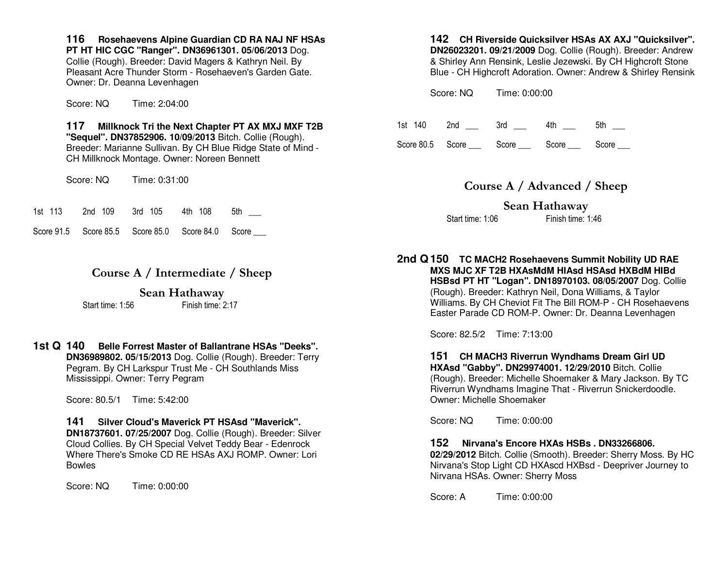**116 Rosehaevens Alpine Guardian CD RA NAJ NF HSAs PT HT HIC CGC "Ranger". DN36961301. 05/06/2013** Dog. Collie (Rough). Breeder: David Magers & Kathryn Neil. By Pleasant Acre Thunder Storm - Rosehaeven's Garden Gate. Owner: Dr. Deanna Levenhagen

Score: NQ Time: 2:04:00

 **117 Millknock Tri the Next Chapter PT AX MXJ MXF T2B "Sequel". DN37852906. 10/09/2013** Bitch. Collie (Rough). Breeder: Marianne Sullivan. By CH Blue Ridge State of Mind - CH Millknock Montage. Owner: Noreen Bennett

Score: NQ Time: 0:31:00

|  | 1st 113 | 2nd 109 |  | 3rd 105 |  |  | 4th 108 | 5th |
|--|---------|---------|--|---------|--|--|---------|-----|
|--|---------|---------|--|---------|--|--|---------|-----|

Score 91.5 Score 85.5 Score 85.0 Score 84.0 Score

## **Course A / Intermediate / Sheep**

#### **Sean Hathaway**

Start time: 1:56 Finish time: 2:17

**1st Q 140 Belle Forrest Master of Ballantrane HSAs "Deeks". DN36989802. 05/15/2013** Dog. Collie (Rough). Breeder: Terry Pegram. By CH Larkspur Trust Me - CH Southlands Miss Mississippi. Owner: Terry Pegram

Score: 80.5/1 Time: 5:42:00

# **141 Silver Cloud's Maverick PT HSAsd "Maverick".**

 **DN18737601. 07/25/2007** Dog. Collie (Rough). Breeder: Silver Cloud Collies. By CH Special Velvet Teddy Bear - Edenrock Where There's Smoke CD RE HSAs AXJ ROMP. Owner: Lori Bowles

Score: NQ Time: 0:00:00

#### **142 CH Riverside Quicksilver HSAs AX AXJ "Quicksilver". DN26023201. 09/21/2009** Dog. Collie (Rough). Breeder: Andrew & Shirley Ann Rensink, Leslie Jezewski. By CH Highcroft Stone Blue - CH Highcroft Adoration. Owner: Andrew & Shirley Rensink

Score: NQ Time: 0:00:00

| 1st 140 | 2nd | 3rd | $4th$ $-$                          | 5th   |
|---------|-----|-----|------------------------------------|-------|
|         |     |     | Score 80.5 Score Score Score Score | Score |

## **Course A / Advanced / Sheep**

**Sean Hathaway** Start time: 1:06 Finish time: 1:46

**2nd Q 150 TC MACH2 Rosehaevens Summit Nobility UD RAE MXS MJC XF T2B HXAsMdM HIAsd HSAsd HXBdM HIBd HSBsd PT HT "Logan". DN18970103. 08/05/2007** Dog. Collie (Rough). Breeder: Kathryn Neil, Dona Williams, & Taylor Williams. By CH Cheviot Fit The Bill ROM-P - CH Rosehaevens Easter Parade CD ROM-P. Owner: Dr. Deanna Levenhagen

Score: 82.5/2 Time: 7:13:00

 **151 CH MACH3 Riverrun Wyndhams Dream Girl UD HXAsd "Gabby". DN29974001. 12/29/2010** Bitch. Collie (Rough). Breeder: Michelle Shoemaker & Mary Jackson. By TCRiverrun Wyndhams Imagine That - Riverrun Snickerdoodle. Owner: Michelle Shoemaker

Score: NQ Time: 0:00:00

 **152 Nirvana's Encore HXAs HSBs . DN33266806.** 

 **02/29/2012** Bitch. Collie (Smooth). Breeder: Sherry Moss. By HC Nirvana's Stop Light CD HXAscd HXBsd - Deepriver Journey to Nirvana HSAs. Owner: Sherry Moss

Score: A Time: 0:00:00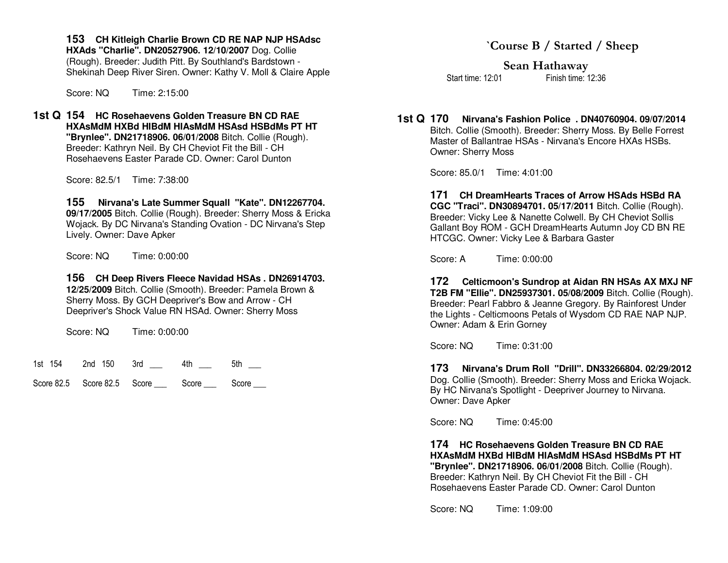**153 CH Kitleigh Charlie Brown CD RE NAP NJP HSAdsc** 

**HXAds "Charlie". DN20527906. 12/10/2007** Dog. Collie (Rough). Breeder: Judith Pitt. By Southland's Bardstown - Shekinah Deep River Siren. Owner: Kathy V. Moll & Claire Apple

Score: NQ Time: 2:15:00

**1st Q 154 HC Rosehaevens Golden Treasure BN CD RAE HXAsMdM HXBd HIBdM HIAsMdM HSAsd HSBdMs PT HT "Brynlee". DN21718906. 06/01/2008** Bitch. Collie (Rough). Breeder: Kathryn Neil. By CH Cheviot Fit the Bill - CH Rosehaevens Easter Parade CD. Owner: Carol Dunton

Score: 82.5/1 Time: 7:38:00

 **155 Nirvana's Late Summer Squall "Kate". DN12267704. 09/17/2005** Bitch. Collie (Rough). Breeder: Sherry Moss & Ericka Wojack. By DC Nirvana's Standing Ovation - DC Nirvana's Step Lively. Owner: Dave Apker

Score: NQ Time: 0:00:00

 **156 CH Deep Rivers Fleece Navidad HSAs . DN26914703.12/25/2009** Bitch. Collie (Smooth). Breeder: Pamela Brown & Sherry Moss. By GCH Deepriver's Bow and Arrow - CH Deepriver's Shock Value RN HSAd. Owner: Sherry Moss

Score: NQ Time: 0:00:00

1st 154 2nd 150 3rd \_\_\_ 4th \_\_\_ 5th \_\_\_

Score 82.5 Score 82.5 Score **Score** Score Score

**Sean Hathaway** 

Start time: 12:01 Finish time: 12:36

**1st Q 170 Nirvana's Fashion Police . DN40760904. 09/07/2014** Bitch. Collie (Smooth). Breeder: Sherry Moss. By Belle Forrest Master of Ballantrae HSAs - Nirvana's Encore HXAs HSBs. Owner: Sherry Moss

Score: 85.0/1 Time: 4:01:00

 **171 CH DreamHearts Traces of Arrow HSAds HSBd RA CGC "Traci". DN30894701. 05/17/2011** Bitch. Collie (Rough). Breeder: Vicky Lee & Nanette Colwell. By CH Cheviot Sollis Gallant Boy ROM - GCH DreamHearts Autumn Joy CD BN REHTCGC. Owner: Vicky Lee & Barbara Gaster

Score: A Time: 0:00:00

 **172 Celticmoon's Sundrop at Aidan RN HSAs AX MXJ NF T2B FM "Ellie". DN25937301. 05/08/2009** Bitch. Collie (Rough). Breeder: Pearl Fabbro & Jeanne Gregory. By Rainforest Under the Lights - Celticmoons Petals of Wysdom CD RAE NAP NJP. Owner: Adam & Erin Gorney

Score: NQ Time: 0:31:00

 **173 Nirvana's Drum Roll "Drill". DN33266804. 02/29/2012** Dog. Collie (Smooth). Breeder: Sherry Moss and Ericka Wojack. By HC Nirvana's Spotlight - Deepriver Journey to Nirvana. Owner: Dave Apker

Score: NQ Time: 0:45:00

 **174 HC Rosehaevens Golden Treasure BN CD RAE HXAsMdM HXBd HIBdM HIAsMdM HSAsd HSBdMs PT HT "Brynlee". DN21718906. 06/01/2008** Bitch. Collie (Rough). Breeder: Kathryn Neil. By CH Cheviot Fit the Bill - CH Rosehaevens Easter Parade CD. Owner: Carol Dunton

Score: NQ Time: 1:09:00